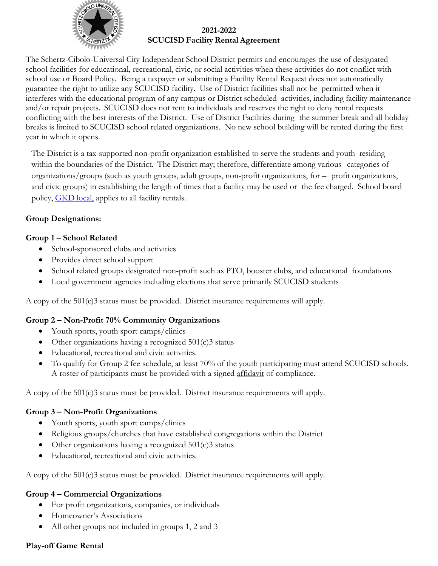

#### **2021-2022 SCUCISD Facility Rental Agreement**

The Schertz-Cibolo-Universal City Independent School District permits and encourages the use of designated school facilities for educational, recreational, civic, or social activities when these activities do not conflict with school use or Board Policy. Being a taxpayer or submitting a Facility Rental Request does not automatically guarantee the right to utilize any SCUCISD facility. Use of District facilities shall not be permitted when it interferes with the educational program of any campus or District scheduled activities, including facility maintenance and/or repair projects. SCUCISD does not rent to individuals and reserves the right to deny rental requests conflicting with the best interests of the District. Use of District Facilities during the summer break and all holiday breaks is limited to SCUCISD school related organizations. No new school building will be rented during the first year in which it opens.

The District is a tax-supported non-profit organization established to serve the students and youth residing within the boundaries of the District. The District may; therefore, differentiate among various categories of organizations/groups (such as youth groups, adult groups, non-profit organizations, for – profit organizations, and civic groups) in establishing the length of times that a facility may be used or the fee charged. School board policy, [GKD local,](https://pol.tasb.org/Policy/Download/551?filename=GKD(LOCAL).pdf) applies to all facility rentals.

# **Group Designations:**

# **Group 1 – School Related**

- School-sponsored clubs and activities
- Provides direct school support
- School related groups designated non-profit such as PTO, booster clubs, and educational foundations
- Local government agencies including elections that serve primarily SCUCISD students

A copy of the 501(c)3 status must be provided. District insurance requirements will apply.

### **Group 2 – Non-Profit 70% Community Organizations**

- Youth sports, youth sport camps/clinics
- Other organizations having a recognized  $501(c)3$  status
- Educational, recreational and civic activities.
- To qualify for Group 2 fee schedule, at least 70% of the youth participating must attend SCUCISD schools. A roster of participants must be provided with a signed affidavit of compliance.

A copy of the  $501(c)3$  status must be provided. District insurance requirements will apply.

### **Group 3 – Non-Profit Organizations**

- Youth sports, youth sport camps/clinics
- Religious groups/churches that have established congregations within the District
- Other organizations having a recognized  $501(c)3$  status
- Educational, recreational and civic activities.

A copy of the 501(c)3 status must be provided. District insurance requirements will apply.

### **Group 4 – Commercial Organizations**

- For profit organizations, companies, or individuals
- Homeowner's Associations
- All other groups not included in groups 1, 2 and 3

### **Play-off Game Rental**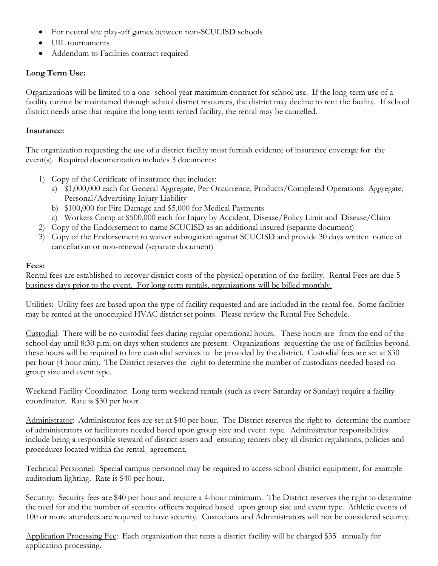- For neutral site play-off games between non-SCUCISD schools
- UIL tournaments
- Addendum to Facilities contract required

# **Long Term Use:**

Organizations will be limited to a one- school year maximum contract for school use. If the long-term use of a facility cannot be maintained through school district resources, the district may decline to rent the facility. If school district needs arise that require the long term rented facility, the rental may be cancelled.

#### **Insurance:**

The organization requesting the use of a district facility must furnish evidence of insurance coverage for the event(s). Required documentation includes 3 documents:

- 1) Copy of the Certificate of insurance that includes:
	- a) \$1,000,000 each for General Aggregate, Per Occurrence, Products/Completed Operations Aggregate, Personal/Advertising Injury Liability
	- b) \$100,000 for Fire Damage and \$5,000 for Medical Payments
	- c) Workers Comp at \$500,000 each for Injury by Accident, Disease/Policy Limit and Disease/Claim
- 2) Copy of the Endorsement to name SCUCISD as an additional insured (separate document)
- 3) Copy of the Endorsement to waiver subrogation against SCUCISD and provide 30 days written notice of cancellation or non-renewal (separate document)

### **Fees:**

Rental fees are established to recover district costs of the physical operation of the facility. Rental Fees are due 5 business days prior to the event. For long term rentals, organizations will be billed monthly.

Utilities: Utility fees are based upon the type of facility requested and are included in the rental fee. Some facilities may be rented at the unoccupied HVAC district set points. Please review the Rental Fee Schedule.

Custodial: There will be no custodial fees during regular operational hours. These hours are from the end of the school day until 8:30 p.m. on days when students are present. Organizations requesting the use of facilities beyond these hours will be required to hire custodial services to be provided by the district. Custodial fees are set at \$30 per hour (4 hour min). The District reserves the right to determine the number of custodians needed based on group size and event type.

Weekend Facility Coordinator: Long term weekend rentals (such as every Saturday or Sunday) require a facility coordinator. Rate is \$30 per hour.

Administrator: Administrator fees are set at \$40 per hour. The District reserves the right to determine the number of administrators or facilitators needed based upon group size and event type. Administrator responsibilities include being a responsible steward of district assets and ensuring renters obey all district regulations, policies and procedures located within the rental agreement.

Technical Personnel: Special campus personnel may be required to access school district equipment, for example auditorium lighting. Rate is \$40 per hour.

Security: Security fees are \$40 per hour and require a 4-hour minimum. The District reserves the right to determine the need for and the number of security officers required based upon group size and event type. Athletic events of 100 or more attendees are required to have security. Custodians and Administrators will not be considered security.

Application Processing Fee: Each organization that rents a district facility will be charged \$35 annually for application processing.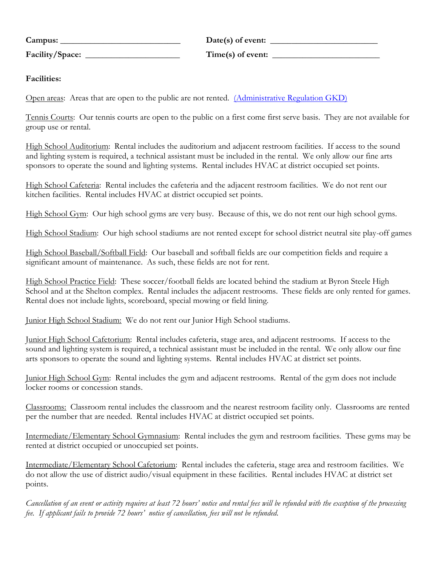| Campus:         |  |
|-----------------|--|
| Facility/Space: |  |

 $Date(s)$  of event: **Facility/Space: \_\_\_\_\_\_\_\_\_\_\_\_\_\_\_\_\_\_\_\_\_\_ Time(s) of event: \_\_\_\_\_\_\_\_\_\_\_\_\_\_\_\_\_\_\_\_\_\_\_\_\_**

### **Facilities:**

Open areas: Areas that are open to the public are not rented. [\(Administrative Regulation](http://www.scuc.txed.net/Excellence.cfm?subpage=31806) GKD)

Tennis Courts: Our tennis courts are open to the public on a first come first serve basis. They are not available for group use or rental.

High School Auditorium: Rental includes the auditorium and adjacent restroom facilities. If access to the sound and lighting system is required, a technical assistant must be included in the rental. We only allow our fine arts sponsors to operate the sound and lighting systems. Rental includes HVAC at district occupied set points.

High School Cafeteria: Rental includes the cafeteria and the adjacent restroom facilities. We do not rent our kitchen facilities. Rental includes HVAC at district occupied set points.

High School Gym: Our high school gyms are very busy. Because of this, we do not rent our high school gyms.

High School Stadium: Our high school stadiums are not rented except for school district neutral site play-off games

High School Baseball/Softball Field: Our baseball and softball fields are our competition fields and require a significant amount of maintenance. As such, these fields are not for rent.

High School Practice Field: These soccer/football fields are located behind the stadium at Byron Steele High School and at the Shelton complex. Rental includes the adjacent restrooms. These fields are only rented for games. Rental does not include lights, scoreboard, special mowing or field lining.

Junior High School Stadium: We do not rent our Junior High School stadiums.

Junior High School Cafetorium: Rental includes cafeteria, stage area, and adjacent restrooms. If access to the sound and lighting system is required, a technical assistant must be included in the rental. We only allow our fine arts sponsors to operate the sound and lighting systems. Rental includes HVAC at district set points.

Junior High School Gym: Rental includes the gym and adjacent restrooms. Rental of the gym does not include locker rooms or concession stands.

Classrooms: Classroom rental includes the classroom and the nearest restroom facility only. Classrooms are rented per the number that are needed. Rental includes HVAC at district occupied set points.

Intermediate/Elementary School Gymnasium: Rental includes the gym and restroom facilities. These gyms may be rented at district occupied or unoccupied set points.

Intermediate/Elementary School Cafetorium: Rental includes the cafeteria, stage area and restroom facilities. We do not allow the use of district audio/visual equipment in these facilities. Rental includes HVAC at district set points.

*Cancellation of an event or activity requires at least 72 hours' notice and rental fees will be refunded with the exception of the processing fee. If applicant fails to provide 72 hours' notice of cancellation, fees will not be refunded.*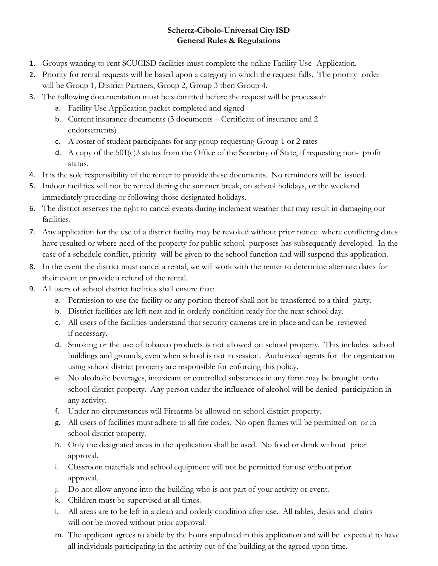# **Schertz-Cibolo-UniversalCity ISD General Rules & Regulations**

- 1. Groups wanting to rent SCUCISD facilities must complete the online Facility Use Application.
- 2. Priority for rental requests will be based upon a category in which the request falls. The priority order will be Group 1, District Partners, Group 2, Group 3 then Group 4.
- 3. The following documentation must be submitted before the request will be processed:
	- a. Facility Use Application packet completed and signed
	- b. Current insurance documents (3 documents Certificate of insurance and 2 endorsements)
	- c. A roster of student participants for any group requesting Group 1 or 2 rates
	- d. A copy of the 501(c)3 status from the Office of the Secretary of State, if requesting non- profit status.
- 4. It is the sole responsibility of the renter to provide these documents. No reminders will be issued.
- 5. Indoor facilities will not be rented during the summer break, on school holidays, or the weekend immediately preceding or following those designated holidays.
- 6. The district reserves the right to cancel events during inclement weather that may result in damaging our facilities.
- 7. Any application for the use of a district facility may be revoked without prior notice where conflicting dates have resulted or where need of the property for public school purposes has subsequently developed. In the case of a schedule conflict, priority will be given to the school function and will suspend this application.
- 8. In the event the district must cancel a rental, we will work with the renter to determine alternate dates for their event or provide a refund of the rental.
- 9. All users of school district facilities shall ensure that:
	- a. Permission to use the facility or any portion thereof shall not be transferred to a third party.
	- b. District facilities are left neat and in orderly condition ready for the next school day.
	- c. All users of the facilities understand that security cameras are in place and can be reviewed if necessary.
	- d. Smoking or the use of tobacco products is not allowed on school property. This includes school buildings and grounds, even when school is not in session. Authorized agents for the organization using school district property are responsible for enforcing this policy.
	- e. No alcoholic beverages, intoxicant or controlled substances in any form may be brought onto school district property. Any person under the influence of alcohol will be denied participation in any activity.
	- f. Under no circumstances will Firearms be allowed on school district property.
	- g. All users of facilities must adhere to all fire codes. No open flames will be permitted on or in school district property.
	- h. Only the designated areas in the application shall be used. No food or drink without prior approval.
	- i. Classroom materials and school equipment will not be permitted for use without prior approval.
	- j. Do not allow anyone into the building who is not part of your activity or event.
	- k. Children must be supervised at all times.
	- l. All areas are to be left in a clean and orderly condition after use. All tables, desks and chairs will not be moved without prior approval.
	- m. The applicant agrees to abide by the hours stipulated in this application and will be expected to have all individuals participating in the activity out of the building at the agreed upon time.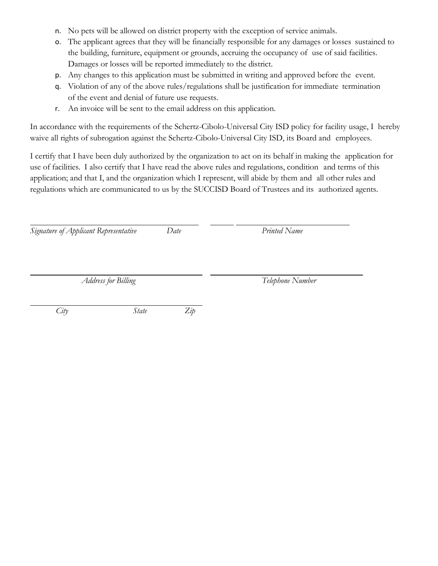- n. No pets will be allowed on district property with the exception of service animals.
- o. The applicant agrees that they will be financially responsible for any damages or losses sustained to the building, furniture, equipment or grounds, accruing the occupancy of use of said facilities. Damages or losses will be reported immediately to the district.
- p. Any changes to this application must be submitted in writing and approved before the event.
- q. Violation of any of the above rules/regulations shall be justification for immediate termination of the event and denial of future use requests.
- r. An invoice will be sent to the email address on this application.

In accordance with the requirements of the Schertz-Cibolo-Universal City ISD policy for facility usage, I hereby waive all rights of subrogation against the Schertz-Cibolo-Universal City ISD, its Board and employees.

I certify that I have been duly authorized by the organization to act on its behalf in making the application for use of facilities. I also certify that I have read the above rules and regulations, condition and terms of this application; and that I, and the organization which I represent, will abide by them and all other rules and regulations which are communicated to us by the SUCCISD Board of Trustees and its authorized agents.

*Signature of Applicant Representative Date Printed Name*

*Address for Billing Telephone Number*

*City State Zip*